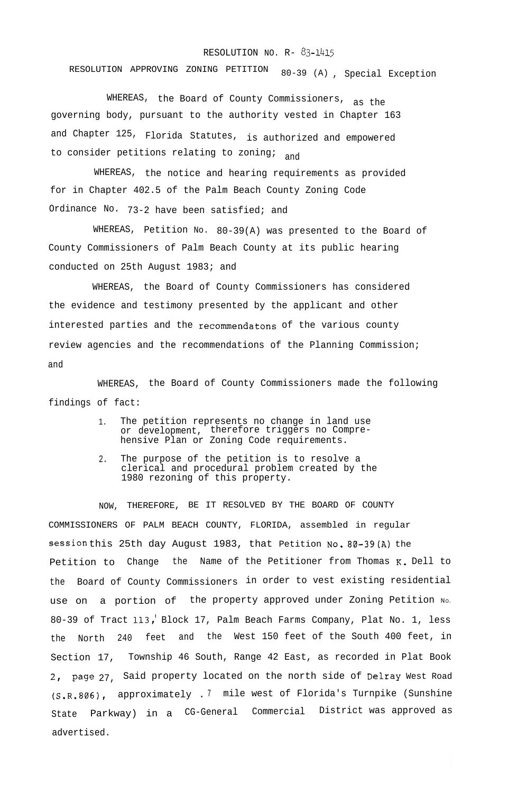## RESOLUTION NO. R- 83-1415

RESOLUTION APPROVING ZONING PETITION 80-39 (A) , Special Exception

WHEREAS, the Board of County Commissioners, as the governing body, pursuant to the authority vested in Chapter 163 and Chapter 125, Florida Statutes, is authorized and empowered to consider petitions relating to zoning;

WHEREAS, the notice and hearing requirements as provided for in Chapter 402.5 of the Palm Beach County Zoning Code Ordinance No. 73-2 have been satisfied; and

WHEREAS, Petition No. 80-39(A) was presented to the Board of County Commissioners of Palm Beach County at its public hearing conducted on 25th August 1983; and

WHEREAS, the Board of County Commissioners has considered the evidence and testimony presented by the applicant and other interested parties and the recommendatons of the various county review agencies and the recommendations of the Planning Commission; and

WHEREAS, the Board of County Commissioners made the following findings of fact:

- 1. The petition represents no change in land use or development, therefore triggers no Comprehensive Plan or Zoning Code requirements.
- 2. The purpose of the petition is to resolve a clerical and procedural problem created by the 1980 rezoning of this property.

NOW, THEREFORE, BE IT RESOLVED BY THE BOARD OF COUNTY COMMISSIONERS OF PALM BEACH COUNTY, FLORIDA, assembled in regular session this 25th day August 1983, that Petition No. 80-39 (A) the Petition to Change the Name of the Petitioner from Thomas K. Dell to the Board of County Commissioners in order to vest existing residential use on a portion of the property approved under Zoning Petition No. 80-39 of Tract 113, Block 17, Palm Beach Farms Company, Plat No. 1, less the North 240 feet and the West 150 feet of the South 400 feet, in Section 17, Township 46 South, Range 42 East, as recorded in Plat Book 2, page 27, Said property located on the north side of Delray West Road (S.R.806), approximately . <sup>7</sup> mile west of Florida's Turnpike (Sunshine State Parkway) in a CG-General Commercial District was approved as advertised.